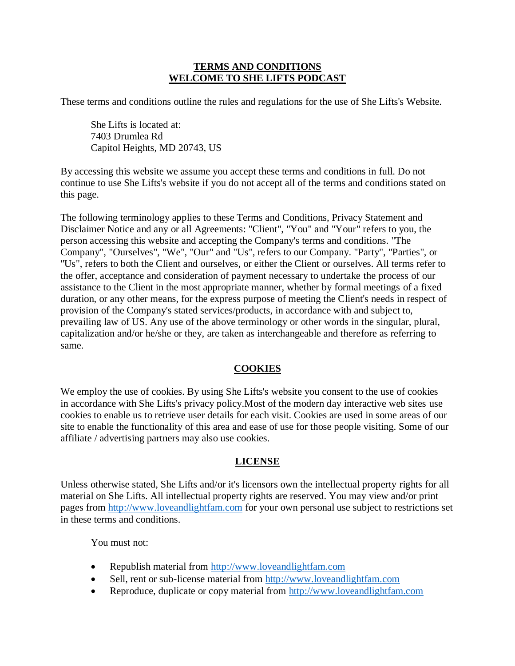#### **TERMS AND CONDITIONS WELCOME TO SHE LIFTS PODCAST**

These terms and conditions outline the rules and regulations for the use of She Lifts's Website.

She Lifts is located at: 7403 Drumlea Rd Capitol Heights, MD 20743, US

By accessing this website we assume you accept these terms and conditions in full. Do not continue to use She Lifts's website if you do not accept all of the terms and conditions stated on this page.

The following terminology applies to these Terms and Conditions, Privacy Statement and Disclaimer Notice and any or all Agreements: "Client", "You" and "Your" refers to you, the person accessing this website and accepting the Company's terms and conditions. "The Company", "Ourselves", "We", "Our" and "Us", refers to our Company. "Party", "Parties", or "Us", refers to both the Client and ourselves, or either the Client or ourselves. All terms refer to the offer, acceptance and consideration of payment necessary to undertake the process of our assistance to the Client in the most appropriate manner, whether by formal meetings of a fixed duration, or any other means, for the express purpose of meeting the Client's needs in respect of provision of the Company's stated services/products, in accordance with and subject to, prevailing law of US. Any use of the above terminology or other words in the singular, plural, capitalization and/or he/she or they, are taken as interchangeable and therefore as referring to same.

#### **COOKIES**

We employ the use of cookies. By using She Lifts's website you consent to the use of cookies in accordance with She Lifts's privacy policy.Most of the modern day interactive web sites use cookies to enable us to retrieve user details for each visit. Cookies are used in some areas of our site to enable the functionality of this area and ease of use for those people visiting. Some of our affiliate / advertising partners may also use cookies.

#### **LICENSE**

Unless otherwise stated, She Lifts and/or it's licensors own the intellectual property rights for all material on She Lifts. All intellectual property rights are reserved. You may view and/or print pages from [http://www.loveandlightfam.com](http://www.loveandlightfam.com/) for your own personal use subject to restrictions set in these terms and conditions.

You must not:

- Republish material from [http://www.loveandlightfam.com](http://www.loveandlightfam.com/)
- Sell, rent or sub-license material from [http://www.loveandlightfam.com](http://www.loveandlightfam.com/)
- Reproduce, duplicate or copy material from [http://www.loveandlightfam.com](http://www.loveandlightfam.com/)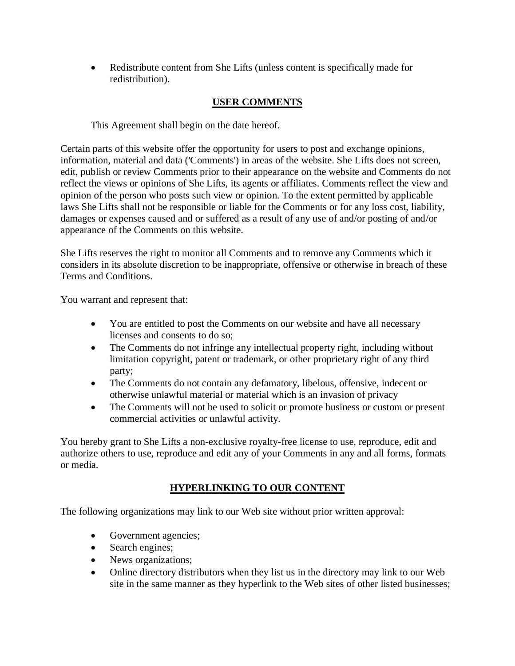• Redistribute content from She Lifts (unless content is specifically made for redistribution).

# **USER COMMENTS**

This Agreement shall begin on the date hereof.

Certain parts of this website offer the opportunity for users to post and exchange opinions, information, material and data ('Comments') in areas of the website. She Lifts does not screen, edit, publish or review Comments prior to their appearance on the website and Comments do not reflect the views or opinions of She Lifts, its agents or affiliates. Comments reflect the view and opinion of the person who posts such view or opinion. To the extent permitted by applicable laws She Lifts shall not be responsible or liable for the Comments or for any loss cost, liability, damages or expenses caused and or suffered as a result of any use of and/or posting of and/or appearance of the Comments on this website.

She Lifts reserves the right to monitor all Comments and to remove any Comments which it considers in its absolute discretion to be inappropriate, offensive or otherwise in breach of these Terms and Conditions.

You warrant and represent that:

- You are entitled to post the Comments on our website and have all necessary licenses and consents to do so;
- The Comments do not infringe any intellectual property right, including without limitation copyright, patent or trademark, or other proprietary right of any third party;
- The Comments do not contain any defamatory, libelous, offensive, indecent or otherwise unlawful material or material which is an invasion of privacy
- The Comments will not be used to solicit or promote business or custom or present commercial activities or unlawful activity.

You hereby grant to She Lifts a non-exclusive royalty-free license to use, reproduce, edit and authorize others to use, reproduce and edit any of your Comments in any and all forms, formats or media.

# **HYPERLINKING TO OUR CONTENT**

The following organizations may link to our Web site without prior written approval:

- Government agencies;
- Search engines;
- News organizations;
- Online directory distributors when they list us in the directory may link to our Web site in the same manner as they hyperlink to the Web sites of other listed businesses;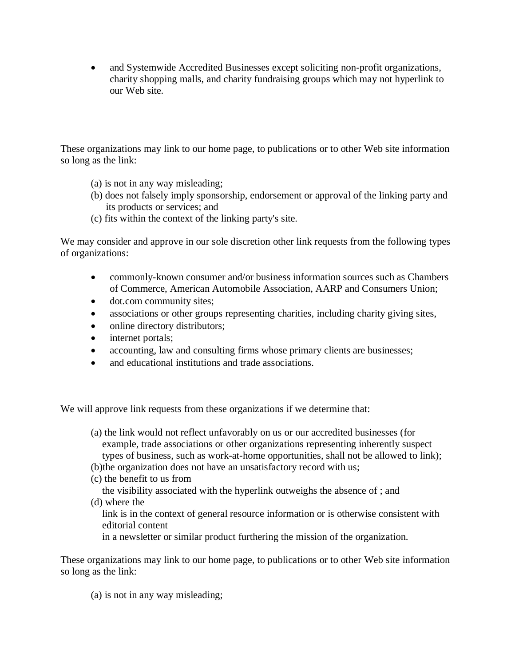• and Systemwide Accredited Businesses except soliciting non-profit organizations, charity shopping malls, and charity fundraising groups which may not hyperlink to our Web site.

These organizations may link to our home page, to publications or to other Web site information so long as the link:

- (a) is not in any way misleading;
- (b) does not falsely imply sponsorship, endorsement or approval of the linking party and its products or services; and
- (c) fits within the context of the linking party's site.

We may consider and approve in our sole discretion other link requests from the following types of organizations:

- commonly-known consumer and/or business information sources such as Chambers of Commerce, American Automobile Association, AARP and Consumers Union;
- dot.com community sites;
- associations or other groups representing charities, including charity giving sites,
- online directory distributors;
- internet portals;
- accounting, law and consulting firms whose primary clients are businesses;
- and educational institutions and trade associations.

We will approve link requests from these organizations if we determine that:

- (a) the link would not reflect unfavorably on us or our accredited businesses (for example, trade associations or other organizations representing inherently suspect types of business, such as work-at-home opportunities, shall not be allowed to link);
- (b)the organization does not have an unsatisfactory record with us;
- (c) the benefit to us from

the visibility associated with the hyperlink outweighs the absence of ; and

(d) where the

link is in the context of general resource information or is otherwise consistent with editorial content

in a newsletter or similar product furthering the mission of the organization.

These organizations may link to our home page, to publications or to other Web site information so long as the link:

(a) is not in any way misleading;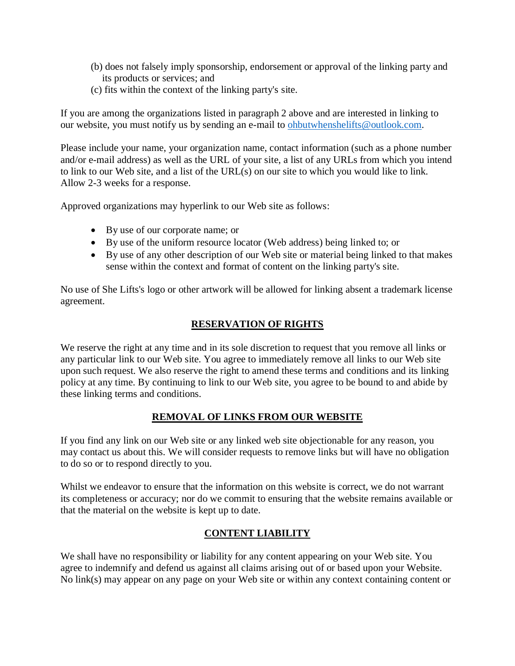- (b) does not falsely imply sponsorship, endorsement or approval of the linking party and its products or services; and
- (c) fits within the context of the linking party's site.

If you are among the organizations listed in paragraph 2 above and are interested in linking to our website, you must notify us by sending an e-mail to [ohbutwhenshelifts@outlook.com.](mailto:ohbutwhenshelifts@outlook.com)

Please include your name, your organization name, contact information (such as a phone number and/or e-mail address) as well as the URL of your site, a list of any URLs from which you intend to link to our Web site, and a list of the URL(s) on our site to which you would like to link. Allow 2-3 weeks for a response.

Approved organizations may hyperlink to our Web site as follows:

- By use of our corporate name; or
- By use of the uniform resource locator (Web address) being linked to; or
- By use of any other description of our Web site or material being linked to that makes sense within the context and format of content on the linking party's site.

No use of She Lifts's logo or other artwork will be allowed for linking absent a trademark license agreement.

### **RESERVATION OF RIGHTS**

We reserve the right at any time and in its sole discretion to request that you remove all links or any particular link to our Web site. You agree to immediately remove all links to our Web site upon such request. We also reserve the right to amend these terms and conditions and its linking policy at any time. By continuing to link to our Web site, you agree to be bound to and abide by these linking terms and conditions.

### **REMOVAL OF LINKS FROM OUR WEBSITE**

If you find any link on our Web site or any linked web site objectionable for any reason, you may contact us about this. We will consider requests to remove links but will have no obligation to do so or to respond directly to you.

Whilst we endeavor to ensure that the information on this website is correct, we do not warrant its completeness or accuracy; nor do we commit to ensuring that the website remains available or that the material on the website is kept up to date.

### **CONTENT LIABILITY**

We shall have no responsibility or liability for any content appearing on your Web site. You agree to indemnify and defend us against all claims arising out of or based upon your Website. No link(s) may appear on any page on your Web site or within any context containing content or